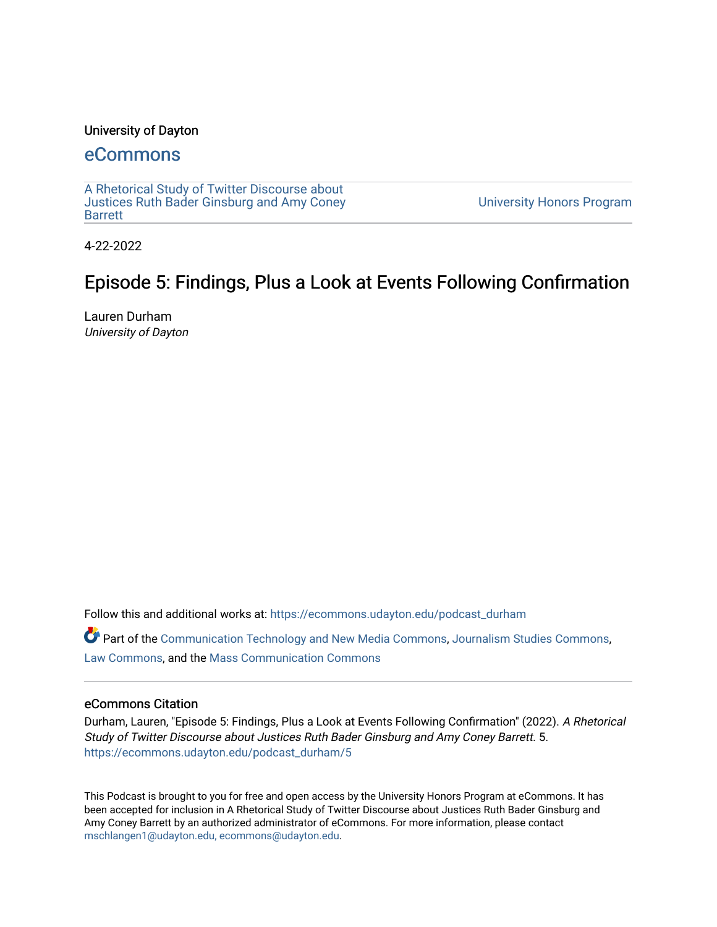## University of Dayton

# [eCommons](https://ecommons.udayton.edu/)

[A Rhetorical Study of Twitter Discourse about](https://ecommons.udayton.edu/podcast_durham) [Justices Ruth Bader Ginsburg and Amy Coney](https://ecommons.udayton.edu/podcast_durham) [Barrett](https://ecommons.udayton.edu/podcast_durham)

[University Honors Program](https://ecommons.udayton.edu/uhp) 

4-22-2022

# Episode 5: Findings, Plus a Look at Events Following Confirmation

Lauren Durham University of Dayton

Follow this and additional works at: [https://ecommons.udayton.edu/podcast\\_durham](https://ecommons.udayton.edu/podcast_durham?utm_source=ecommons.udayton.edu%2Fpodcast_durham%2F5&utm_medium=PDF&utm_campaign=PDFCoverPages) 

Part of the [Communication Technology and New Media Commons,](http://network.bepress.com/hgg/discipline/327?utm_source=ecommons.udayton.edu%2Fpodcast_durham%2F5&utm_medium=PDF&utm_campaign=PDFCoverPages) [Journalism Studies Commons](http://network.bepress.com/hgg/discipline/333?utm_source=ecommons.udayton.edu%2Fpodcast_durham%2F5&utm_medium=PDF&utm_campaign=PDFCoverPages), [Law Commons,](http://network.bepress.com/hgg/discipline/578?utm_source=ecommons.udayton.edu%2Fpodcast_durham%2F5&utm_medium=PDF&utm_campaign=PDFCoverPages) and the [Mass Communication Commons](http://network.bepress.com/hgg/discipline/334?utm_source=ecommons.udayton.edu%2Fpodcast_durham%2F5&utm_medium=PDF&utm_campaign=PDFCoverPages)

#### eCommons Citation

Durham, Lauren, "Episode 5: Findings, Plus a Look at Events Following Confirmation" (2022). A Rhetorical Study of Twitter Discourse about Justices Ruth Bader Ginsburg and Amy Coney Barrett. 5. [https://ecommons.udayton.edu/podcast\\_durham/5](https://ecommons.udayton.edu/podcast_durham/5?utm_source=ecommons.udayton.edu%2Fpodcast_durham%2F5&utm_medium=PDF&utm_campaign=PDFCoverPages) 

This Podcast is brought to you for free and open access by the University Honors Program at eCommons. It has been accepted for inclusion in A Rhetorical Study of Twitter Discourse about Justices Ruth Bader Ginsburg and Amy Coney Barrett by an authorized administrator of eCommons. For more information, please contact [mschlangen1@udayton.edu, ecommons@udayton.edu.](mailto:mschlangen1@udayton.edu,%20ecommons@udayton.edu)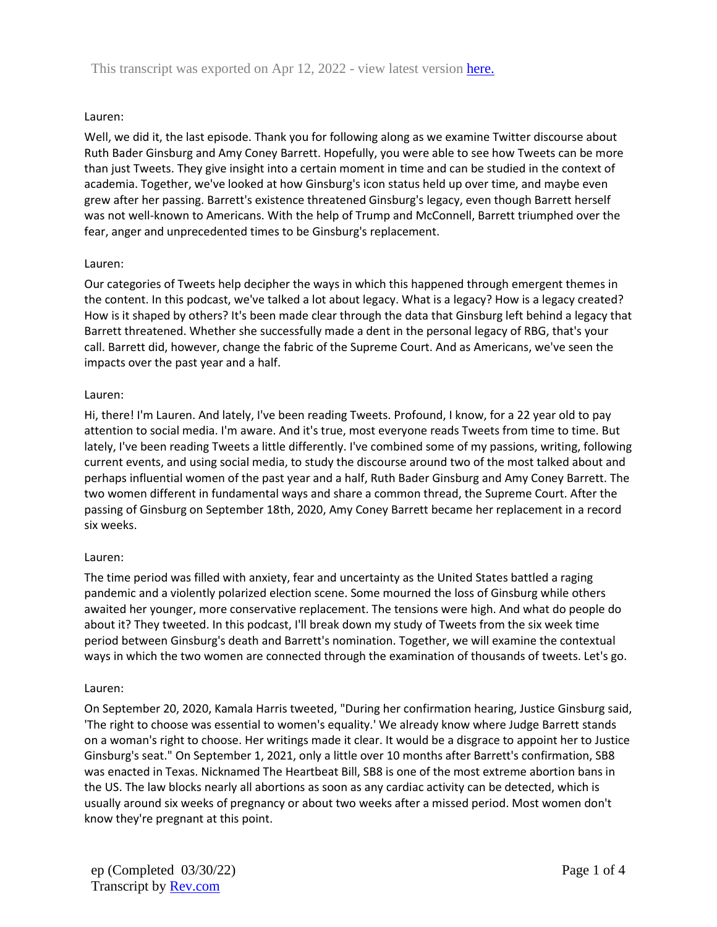### Lauren:

Well, we did it, the last episode. Thank you for following along as we examine Twitter discourse about Ruth Bader Ginsburg and Amy Coney Barrett. Hopefully, you were able to see how Tweets can be more than just Tweets. They give insight into a certain moment in time and can be studied in the context of academia. Together, we've looked at how Ginsburg's icon status held up over time, and maybe even grew after her passing. Barrett's existence threatened Ginsburg's legacy, even though Barrett herself was not well-known to Americans. With the help of Trump and McConnell, Barrett triumphed over the fear, anger and unprecedented times to be Ginsburg's replacement.

#### Lauren:

Our categories of Tweets help decipher the ways in which this happened through emergent themes in the content. In this podcast, we've talked a lot about legacy. What is a legacy? How is a legacy created? How is it shaped by others? It's been made clear through the data that Ginsburg left behind a legacy that Barrett threatened. Whether she successfully made a dent in the personal legacy of RBG, that's your call. Barrett did, however, change the fabric of the Supreme Court. And as Americans, we've seen the impacts over the past year and a half.

#### Lauren:

Hi, there! I'm Lauren. And lately, I've been reading Tweets. Profound, I know, for a 22 year old to pay attention to social media. I'm aware. And it's true, most everyone reads Tweets from time to time. But lately, I've been reading Tweets a little differently. I've combined some of my passions, writing, following current events, and using social media, to study the discourse around two of the most talked about and perhaps influential women of the past year and a half, Ruth Bader Ginsburg and Amy Coney Barrett. The two women different in fundamental ways and share a common thread, the Supreme Court. After the passing of Ginsburg on September 18th, 2020, Amy Coney Barrett became her replacement in a record six weeks.

#### Lauren:

The time period was filled with anxiety, fear and uncertainty as the United States battled a raging pandemic and a violently polarized election scene. Some mourned the loss of Ginsburg while others awaited her younger, more conservative replacement. The tensions were high. And what do people do about it? They tweeted. In this podcast, I'll break down my study of Tweets from the six week time period between Ginsburg's death and Barrett's nomination. Together, we will examine the contextual ways in which the two women are connected through the examination of thousands of tweets. Let's go.

#### Lauren:

On September 20, 2020, Kamala Harris tweeted, "During her confirmation hearing, Justice Ginsburg said, 'The right to choose was essential to women's equality.' We already know where Judge Barrett stands on a woman's right to choose. Her writings made it clear. It would be a disgrace to appoint her to Justice Ginsburg's seat." On September 1, 2021, only a little over 10 months after Barrett's confirmation, SB8 was enacted in Texas. Nicknamed The Heartbeat Bill, SB8 is one of the most extreme abortion bans in the US. The law blocks nearly all abortions as soon as any cardiac activity can be detected, which is usually around six weeks of pregnancy or about two weeks after a missed period. Most women don't know they're pregnant at this point.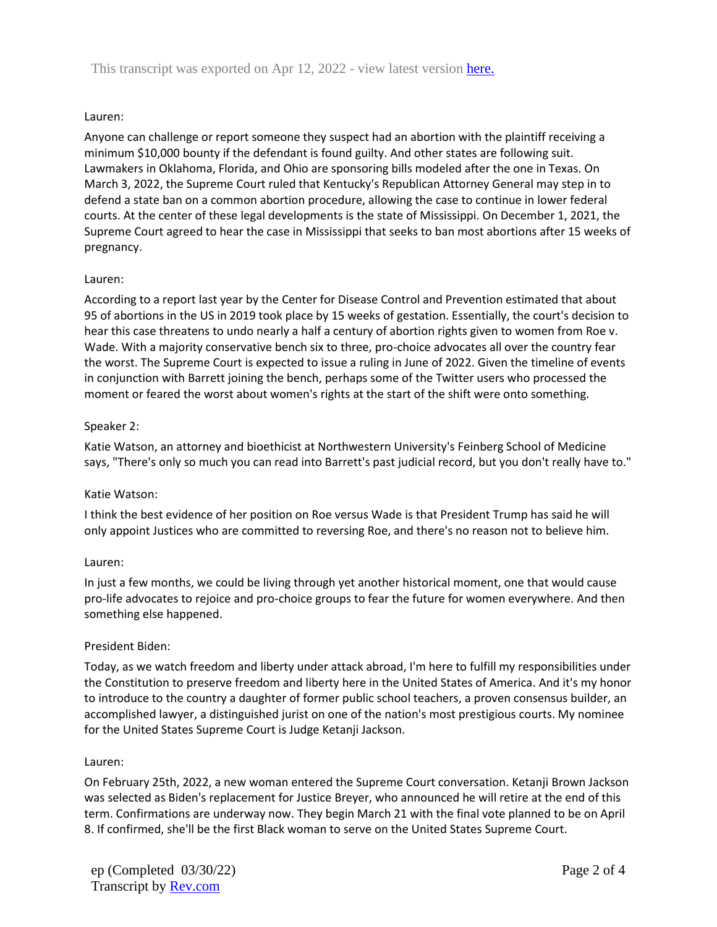#### Lauren:

Anyone can challenge or report someone they suspect had an abortion with the plaintiff receiving a minimum \$10,000 bounty if the defendant is found guilty. And other states are following suit. Lawmakers in Oklahoma, Florida, and Ohio are sponsoring bills modeled after the one in Texas. On March 3, 2022, the Supreme Court ruled that Kentucky's Republican Attorney General may step in to defend a state ban on a common abortion procedure, allowing the case to continue in lower federal courts. At the center of these legal developments is the state of Mississippi. On December 1, 2021, the Supreme Court agreed to hear the case in Mississippi that seeks to ban most abortions after 15 weeks of pregnancy.

#### Lauren:

According to a report last year by the Center for Disease Control and Prevention estimated that about 95 of abortions in the US in 2019 took place by 15 weeks of gestation. Essentially, the court's decision to hear this case threatens to undo nearly a half a century of abortion rights given to women from Roe v. Wade. With a majority conservative bench six to three, pro-choice advocates all over the country fear the worst. The Supreme Court is expected to issue a ruling in June of 2022. Given the timeline of events in conjunction with Barrett joining the bench, perhaps some of the Twitter users who processed the moment or feared the worst about women's rights at the start of the shift were onto something.

#### Speaker 2:

Katie Watson, an attorney and bioethicist at Northwestern University's Feinberg School of Medicine says, "There's only so much you can read into Barrett's past judicial record, but you don't really have to."

#### Katie Watson:

I think the best evidence of her position on Roe versus Wade is that President Trump has said he will only appoint Justices who are committed to reversing Roe, and there's no reason not to believe him.

#### Lauren:

In just a few months, we could be living through yet another historical moment, one that would cause pro-life advocates to rejoice and pro-choice groups to fear the future for women everywhere. And then something else happened.

#### President Biden:

Today, as we watch freedom and liberty under attack abroad, I'm here to fulfill my responsibilities under the Constitution to preserve freedom and liberty here in the United States of America. And it's my honor to introduce to the country a daughter of former public school teachers, a proven consensus builder, an accomplished lawyer, a distinguished jurist on one of the nation's most prestigious courts. My nominee for the United States Supreme Court is Judge Ketanji Jackson.

#### Lauren:

On February 25th, 2022, a new woman entered the Supreme Court conversation. Ketanji Brown Jackson was selected as Biden's replacement for Justice Breyer, who announced he will retire at the end of this term. Confirmations are underway now. They begin March 21 with the final vote planned to be on April 8. If confirmed, she'll be the first Black woman to serve on the United States Supreme Court.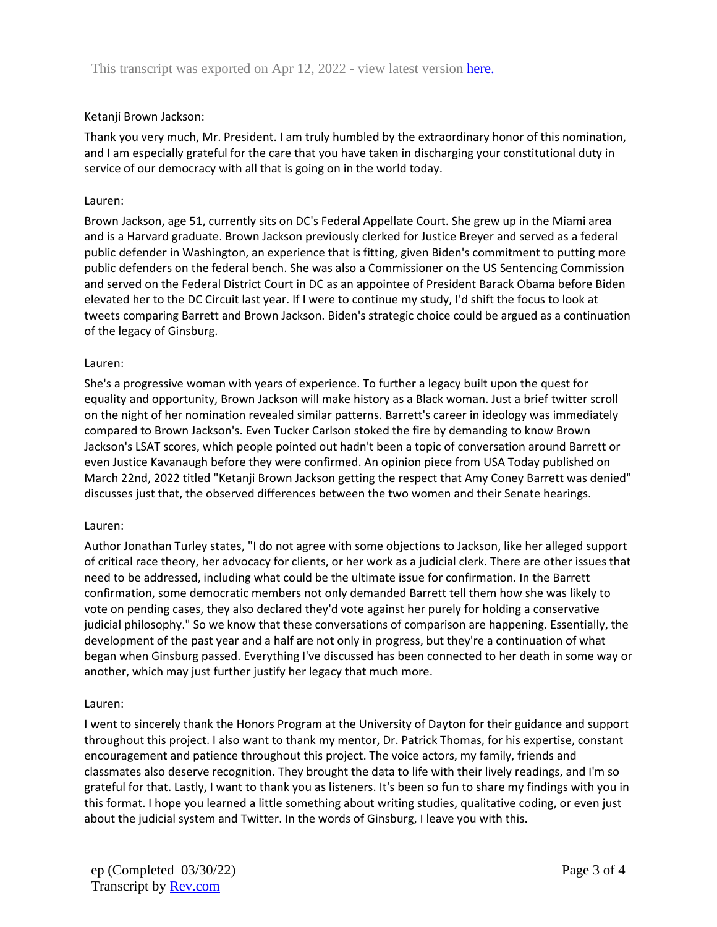### Ketanji Brown Jackson:

Thank you very much, Mr. President. I am truly humbled by the extraordinary honor of this nomination, and I am especially grateful for the care that you have taken in discharging your constitutional duty in service of our democracy with all that is going on in the world today.

#### Lauren:

Brown Jackson, age 51, currently sits on DC's Federal Appellate Court. She grew up in the Miami area and is a Harvard graduate. Brown Jackson previously clerked for Justice Breyer and served as a federal public defender in Washington, an experience that is fitting, given Biden's commitment to putting more public defenders on the federal bench. She was also a Commissioner on the US Sentencing Commission and served on the Federal District Court in DC as an appointee of President Barack Obama before Biden elevated her to the DC Circuit last year. If I were to continue my study, I'd shift the focus to look at tweets comparing Barrett and Brown Jackson. Biden's strategic choice could be argued as a continuation of the legacy of Ginsburg.

#### Lauren:

She's a progressive woman with years of experience. To further a legacy built upon the quest for equality and opportunity, Brown Jackson will make history as a Black woman. Just a brief twitter scroll on the night of her nomination revealed similar patterns. Barrett's career in ideology was immediately compared to Brown Jackson's. Even Tucker Carlson stoked the fire by demanding to know Brown Jackson's LSAT scores, which people pointed out hadn't been a topic of conversation around Barrett or even Justice Kavanaugh before they were confirmed. An opinion piece from USA Today published on March 22nd, 2022 titled "Ketanji Brown Jackson getting the respect that Amy Coney Barrett was denied" discusses just that, the observed differences between the two women and their Senate hearings.

#### Lauren:

Author Jonathan Turley states, "I do not agree with some objections to Jackson, like her alleged support of critical race theory, her advocacy for clients, or her work as a judicial clerk. There are other issues that need to be addressed, including what could be the ultimate issue for confirmation. In the Barrett confirmation, some democratic members not only demanded Barrett tell them how she was likely to vote on pending cases, they also declared they'd vote against her purely for holding a conservative judicial philosophy." So we know that these conversations of comparison are happening. Essentially, the development of the past year and a half are not only in progress, but they're a continuation of what began when Ginsburg passed. Everything I've discussed has been connected to her death in some way or another, which may just further justify her legacy that much more.

#### Lauren:

I went to sincerely thank the Honors Program at the University of Dayton for their guidance and support throughout this project. I also want to thank my mentor, Dr. Patrick Thomas, for his expertise, constant encouragement and patience throughout this project. The voice actors, my family, friends and classmates also deserve recognition. They brought the data to life with their lively readings, and I'm so grateful for that. Lastly, I want to thank you as listeners. It's been so fun to share my findings with you in this format. I hope you learned a little something about writing studies, qualitative coding, or even just about the judicial system and Twitter. In the words of Ginsburg, I leave you with this.